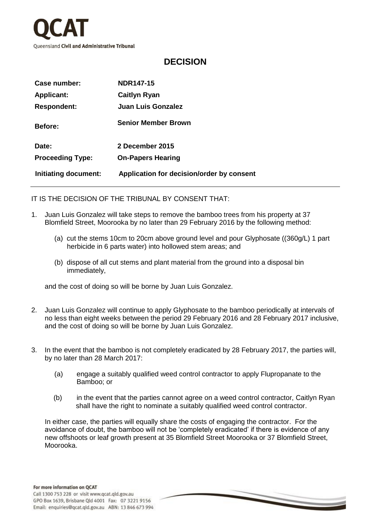

## **DECISION**

| Case number:            | <b>NDR147-15</b>                          |
|-------------------------|-------------------------------------------|
| <b>Applicant:</b>       | <b>Caitlyn Ryan</b>                       |
| <b>Respondent:</b>      | <b>Juan Luis Gonzalez</b>                 |
| <b>Before:</b>          | <b>Senior Member Brown</b>                |
| Date:                   | 2 December 2015                           |
| <b>Proceeding Type:</b> | <b>On-Papers Hearing</b>                  |
| Initiating document:    | Application for decision/order by consent |

IT IS THE DECISION OF THE TRIBUNAL BY CONSENT THAT:

- 1. Juan Luis Gonzalez will take steps to remove the bamboo trees from his property at 37 Blomfield Street, Moorooka by no later than 29 February 2016 by the following method:
	- (a) cut the stems 10cm to 20cm above ground level and pour Glyphosate ((360g/L) 1 part herbicide in 6 parts water) into hollowed stem areas; and
	- (b) dispose of all cut stems and plant material from the ground into a disposal bin immediately,

and the cost of doing so will be borne by Juan Luis Gonzalez.

- 2. Juan Luis Gonzalez will continue to apply Glyphosate to the bamboo periodically at intervals of no less than eight weeks between the period 29 February 2016 and 28 February 2017 inclusive, and the cost of doing so will be borne by Juan Luis Gonzalez.
- 3. In the event that the bamboo is not completely eradicated by 28 February 2017, the parties will, by no later than 28 March 2017:
	- (a) engage a suitably qualified weed control contractor to apply Flupropanate to the Bamboo; or
	- (b) in the event that the parties cannot agree on a weed control contractor, Caitlyn Ryan shall have the right to nominate a suitably qualified weed control contractor.

 In either case, the parties will equally share the costs of engaging the contractor. For the avoidance of doubt, the bamboo will not be 'completely eradicated' if there is evidence of any new offshoots or leaf growth present at 35 Blomfield Street Moorooka or 37 Blomfield Street, Moorooka.